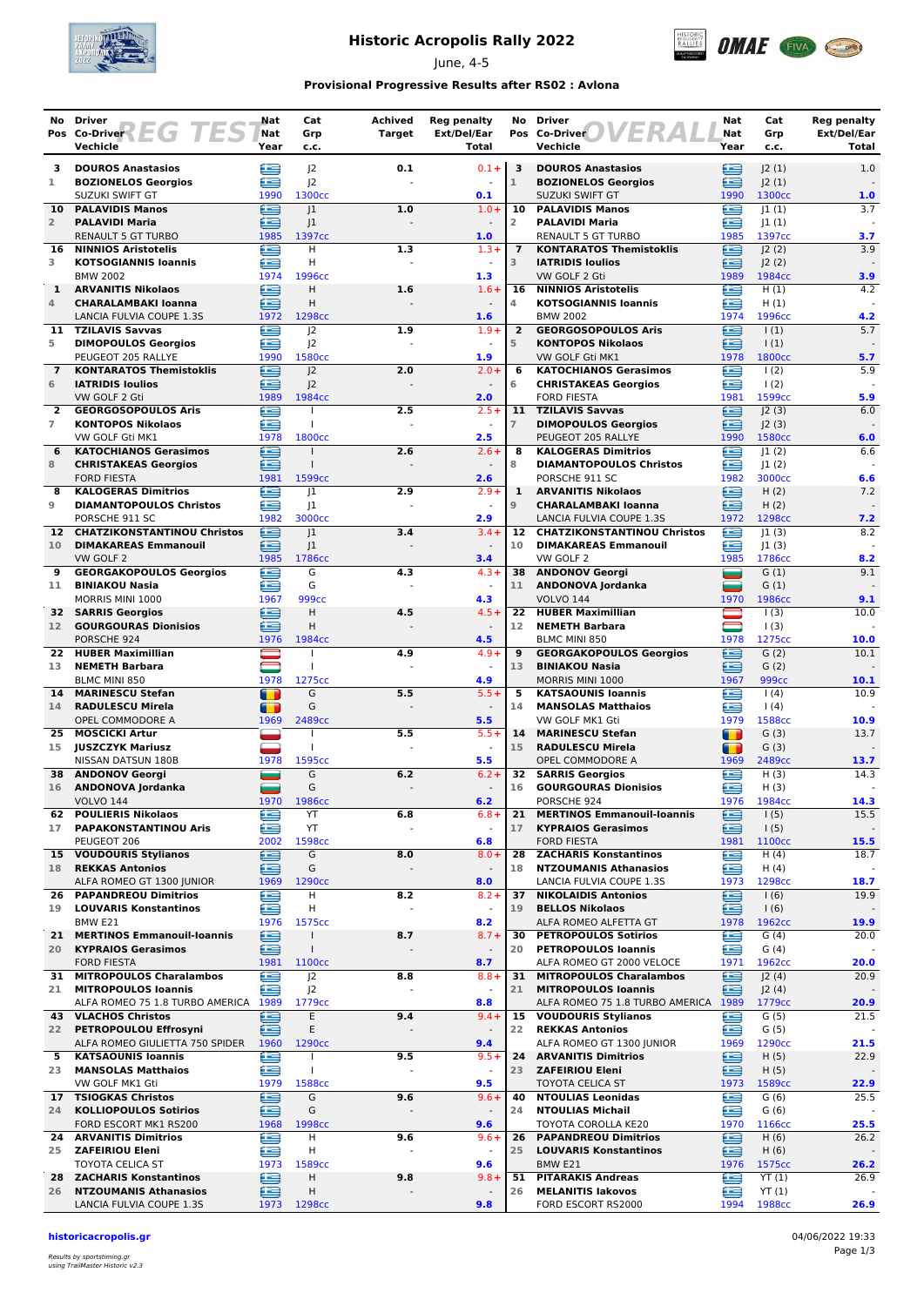

# **Historic Acropolis Rally 2022**

June, 4-5



### **Provisional Progressive Results after RS02 : Avlona**

|                      | No Driver                                                                   | Nat                | Cat                                  | <b>Achived</b>           | <b>Reg penalty</b>                  | No                   | <b>Driver</b>                                                  | Nat                                        | Cat                 | <b>Reg penalty</b>   |
|----------------------|-----------------------------------------------------------------------------|--------------------|--------------------------------------|--------------------------|-------------------------------------|----------------------|----------------------------------------------------------------|--------------------------------------------|---------------------|----------------------|
|                      | Pos Co-Driver $\left\{F \subseteq G \mid F \subseteq S\right\}$<br>Vechicle | <b>Nat</b><br>Year | Grp<br>c.c.                          | <b>Target</b>            | Ext/Del/Ear<br>Total                |                      | 13 R<br>Pos Co-Driver<br>Vechicle                              | Nat<br>Year                                | Grp<br>c.c.         | Ext/Del/Ear<br>Total |
| з                    | <b>DOUROS Anastasios</b>                                                    | ≊                  | J <sub>2</sub>                       | 0.1                      | $0.1 +$                             | 3                    | <b>DOUROS Anastasios</b>                                       | £                                          | J2(1)               | 1.0                  |
| 1                    | <b>BOZIONELOS Georgios</b>                                                  | £                  | J <sub>2</sub>                       |                          |                                     | $\mathbf{1}$         | <b>BOZIONELOS Georgios</b>                                     | ≘                                          | 2(1)                |                      |
|                      | SUZUKI SWIFT GT                                                             | 1990               | 1300cc                               |                          | 0.1                                 |                      | SUZUKI SWIFT GT                                                | 1990                                       | 1300cc              | 1.0                  |
| 10<br>$\overline{2}$ | <b>PALAVIDIS Manos</b><br><b>PALAVIDI Maria</b>                             | £<br>œ             | 1<br> 1                              | 1.0                      | $1.0 +$                             | 10<br>$\overline{2}$ | <b>PALAVIDIS Manos</b><br><b>PALAVIDI Maria</b>                | £<br>£                                     | 1(1) <br> 1(1)      | 3.7                  |
|                      | <b>RENAULT 5 GT TURBO</b>                                                   | 1985               | 1397cc                               |                          | 1.0                                 |                      | <b>RENAULT 5 GT TURBO</b>                                      | 1985                                       | 1397cc              | 3.7                  |
| 16                   | <b>NINNIOS Aristotelis</b>                                                  | œ                  | H                                    | 1.3                      | $1.3+$                              | $\overline{7}$       | <b>KONTARATOS Themistoklis</b>                                 | e                                          | J2(2)               | 3.9                  |
| 3                    | <b>KOTSOGIANNIS Ioannis</b><br><b>BMW 2002</b>                              | Æ                  | Η<br>1996cc                          |                          | $\omega$                            | 3                    | <b>IATRIDIS Ioulios</b>                                        | £                                          | 2(2) <br>1984cc     |                      |
| $\mathbf{1}$         | <b>ARVANITIS Nikolaos</b>                                                   | 1974<br>€          | Н                                    | 1.6                      | 1.3<br>$1.6+$                       | 16                   | VW GOLF 2 Gti<br><b>NINNIOS Aristotelis</b>                    | 1989<br>€                                  | H(1)                | 3.9<br>4.2           |
| 4                    | <b>CHARALAMBAKI Ioanna</b>                                                  | £                  | Η                                    |                          |                                     | 4                    | <b>KOTSOGIANNIS Ioannis</b>                                    | ≘                                          | H(1)                |                      |
|                      | LANCIA FULVIA COUPE 1.3S                                                    | 1972               | 1298cc                               |                          | 1.6                                 |                      | <b>BMW 2002</b>                                                | 1974                                       | 1996сс              | 4.2                  |
| 11<br>5              | <b>TZILAVIS Savvas</b><br><b>DIMOPOULOS Georgios</b>                        | æ<br>£             | J2<br> 2                             | 1.9                      | $1.9+$<br>$\overline{\phantom{a}}$  | $\overline{2}$<br>5  | <b>GEORGOSOPOULOS Aris</b><br><b>KONTOPOS Nikolaos</b>         | œ<br>⋐                                     | 1(1)<br>$\vert$ (1) | 5.7                  |
|                      | PEUGEOT 205 RALLYE                                                          | 1990               | 1580cc                               |                          | 1.9                                 |                      | VW GOLF Gti MK1                                                | 1978                                       | 1800cc              | 5.7                  |
| $\overline{7}$       | <b>KONTARATOS Themistoklis</b>                                              | ∈                  | J <sub>2</sub>                       | 2.0                      | $2.0 +$                             | 6                    | <b>KATOCHIANOS Gerasimos</b>                                   | œ                                          | $\frac{1(2)}{2}$    | 5.9                  |
| 6                    | <b>IATRIDIS Ioulios</b>                                                     | £                  | 2                                    |                          | $\blacksquare$<br>2.0               | 6                    | <b>CHRISTAKEAS Georgios</b><br><b>FORD FIESTA</b>              | œ                                          | 1(2)<br>1599cc      | 5.9                  |
| $\overline{2}$       | VW GOLF 2 Gti<br><b>GEORGOSOPOULOS Aris</b>                                 | 1989<br>∈          | 1984cc                               | 2.5                      | $2.5+$                              | 11                   | <b>TZILAVIS Savvas</b>                                         | 1981<br>≘                                  | J2(3)               | 6.0                  |
| $\overline{7}$       | <b>KONTOPOS Nikolaos</b>                                                    | æ                  |                                      |                          |                                     | $\overline{7}$       | <b>DIMOPOULOS Georgios</b>                                     | æ                                          | J2(3)               |                      |
|                      | VW GOLF Gti MK1                                                             | 1978               | 1800cc                               |                          | 2.5                                 |                      | PEUGEOT 205 RALLYE                                             | 1990                                       | 1580cc              | 6.0                  |
| 6<br>8               | <b>KATOCHIANOS Gerasimos</b><br><b>CHRISTAKEAS Georgios</b>                 | £<br>£             | $\mathbf{I}$                         | 2.6                      | $2.6 +$                             | 8<br>8               | <b>KALOGERAS Dimitrios</b><br><b>DIAMANTOPOULOS Christos</b>   | æ<br>œ                                     | 1(2) <br> 1(2)      | 6.6                  |
|                      | <b>FORD FIESTA</b>                                                          | 1981               | 1599cc                               |                          | 2.6                                 |                      | PORSCHE 911 SC                                                 | 1982                                       | 3000cc              | 6.6                  |
| 8                    | <b>KALOGERAS Dimitrios</b>                                                  | £                  | 1                                    | 2.9                      | $2.9 +$                             | 1                    | <b>ARVANITIS Nikolaos</b>                                      | œ                                          | H(2)                | 7.2                  |
| 9                    | <b>DIAMANTOPOULOS Christos</b><br>PORSCHE 911 SC                            | œ<br>1982          | 1<br>3000cc                          |                          | 2.9                                 | $\overline{9}$       | <b>CHARALAMBAKI Ioanna</b>                                     | ఆ                                          | H(2)<br>1298cc      |                      |
| 12 <sup>7</sup>      | <b>CHATZIKONSTANTINOU Christos</b>                                          | ⊜                  | 1                                    | 3.4                      | $3.4 +$                             | 12                   | LANCIA FULVIA COUPE 1.3S<br><b>CHATZIKONSTANTINOU Christos</b> | 1972<br>œ                                  | 1(3)                | 7.2<br>8.2           |
| 10                   | <b>DIMAKAREAS Emmanouil</b>                                                 | Æ                  | 1                                    |                          |                                     | 10                   | <b>DIMAKAREAS Emmanouil</b>                                    | £                                          | 1(3)                |                      |
|                      | VW GOLF 2                                                                   | 1985               | 1786cc                               |                          | 3.4                                 |                      | VW GOLF 2                                                      | 1985                                       | 1786cc              | 8.2                  |
| 9<br>11              | <b>GEORGAKOPOULOS Georgios</b><br><b>BINIAKOU Nasia</b>                     | œ<br>≘             | G<br>G                               | 4.3                      | $4.3 +$<br>$\sim$                   | 11                   | 38 ANDONOV Georgi<br>ANDONOVA Jordanka                         | ▄<br>د                                     | G(1)<br>G(1)        | 9.1                  |
|                      | MORRIS MINI 1000                                                            | 1967               | 999cc                                |                          | 4.3                                 |                      | <b>VOLVO 144</b>                                               | 1970                                       | 1986cc              | 9.1                  |
| 32                   | <b>SARRIS Georgios</b>                                                      | ≘                  | Н                                    | 4.5                      | $4.5+$                              | 22                   | <b>HUBER Maximillian</b>                                       |                                            | $\vert$ (3)         | 10.0                 |
| 12 <sup>7</sup>      | <b>GOURGOURAS Dionisios</b>                                                 | £                  | H                                    |                          | 4.5                                 | 12                   | <b>NEMETH Barbara</b>                                          | $\qquad \qquad \qquad \qquad \Box$<br>1978 | 1(3)<br>1275cc      |                      |
| 22                   | PORSCHE 924<br><b>HUBER Maximillian</b>                                     | 1976               | 1984cc                               | 4.9                      | $4.9 +$                             | 9                    | BLMC MINI 850<br><b>GEORGAKOPOULOS Georgios</b>                | ∈                                          | G(2)                | 10.0<br>10.1         |
| 13                   | <b>NEMETH Barbara</b>                                                       |                    |                                      |                          |                                     | 13                   | <b>BINIAKOU Nasia</b>                                          | æ                                          | G(2)                |                      |
|                      | BLMC MINI 850                                                               | 1978               | 1275cc                               |                          | 4.9                                 |                      | MORRIS MINI 1000                                               | 1967                                       | 999 <sub>cc</sub>   | 10.1                 |
| 14<br>14             | <b>MARINESCU Stefan</b><br><b>RADULESCU Mirela</b>                          | т<br>m             | G<br>G                               | 5.5                      | $5.5+$<br>$\sim$                    | 5<br>14              | <b>KATSAOUNIS Ioannis</b><br><b>MANSOLAS Matthaios</b>         | €<br>£                                     | (4)<br>(4)          | 10.9                 |
|                      | OPEL COMMODORE A                                                            | 1969               | 2489cc                               |                          | 5.5                                 |                      | VW GOLF MK1 Gti                                                | 1979                                       | 1588cc              | 10.9                 |
| 25.                  | <b>MOSCICKI Artur</b>                                                       |                    | $\mathbf{I}$                         | 5.5                      | $5.5+$                              | 14                   | <b>MARINESCU Stefan</b>                                        | $\blacksquare$                             | G(3)                | 13.7                 |
| 15                   | <b>JUSZCZYK Mariusz</b><br>NISSAN DATSUN 180B                               | 1978               | $\overline{1}$<br>1595cc             |                          | 5.5                                 | 15                   | <b>RADULESCU Mirela</b><br>OPEL COMMODORE A                    | т<br>1969                                  | G(3)<br>2489cc      | 13.7                 |
| 38                   | <b>ANDONOV Georgi</b>                                                       |                    | G                                    | 6.2                      | $6.2 +$                             | 32                   | <b>SARRIS Georgios</b>                                         | £                                          | H(3)                | 14.3                 |
| 16                   | <b>ANDONOVA Jordanka</b>                                                    | ═                  | G                                    | $\overline{a}$           | $\sim$                              | 16                   | <b>GOURGOURAS Dionisios</b>                                    | ≘                                          | H(3)                |                      |
|                      | <b>VOLVO 144</b>                                                            | 1970               | 1986cc                               |                          | 6.2                                 |                      | PORSCHE 924                                                    | 1976                                       | 1984cc              | 14.3                 |
| 62<br>17             | <b>POULIERIS Nikolaos</b><br><b>PAPAKONSTANTINOU Aris</b>                   | ⋐<br>£             | YT<br>YT                             | 6.8                      | $6.8+$<br>$\omega$                  | 21<br>17             | <b>MERTINOS Emmanouil-Ioannis</b><br><b>KYPRAIOS Gerasimos</b> | ∈<br>∈                                     | 1(5)<br>1(5)        | 15.5                 |
|                      | PEUGEOT 206                                                                 | 2002               | 1598cc                               |                          | 6.8                                 |                      | <b>FORD FIESTA</b>                                             | 1981                                       | 1100cc              | 15.5                 |
|                      | 15 VOUDOURIS Stylianos                                                      | £                  | G                                    | 8.0                      | $8.0 +$                             | 28                   | <b>ZACHARIS Konstantinos</b>                                   | œ                                          | H(4)                | 18.7                 |
| 18                   | <b>REKKAS Antonios</b><br>ALFA ROMEO GT 1300 JUNIOR                         | £<br>1969          | G<br>1290 <sub>cc</sub>              | $\blacksquare$           | $\overline{\phantom{a}}$<br>8.0     | 18                   | <b>NTZOUMANIS Athanasios</b><br>LANCIA FULVIA COUPE 1.3S       | ≘<br>1973                                  | H(4)<br>1298cc      | 18.7                 |
| 26                   | <b>PAPANDREOU Dimitrios</b>                                                 | e                  | Н                                    | 8.2                      | $8.2 +$                             | 37                   | <b>NIKOLAIDIS Antonios</b>                                     | ≘                                          | 1(6)                | 19.9                 |
| 19                   | <b>LOUVARIS Konstantinos</b>                                                | €                  | н                                    | $\Box$                   | $\overline{\phantom{a}}$            | 19                   | <b>BELLOS Nikolaos</b>                                         | ఆ                                          | 1(6)                |                      |
|                      | BMW E21<br>21 MERTINOS Emmanouil-Ioannis                                    | 1976               | 1575cc<br>$\mathbf{I}$               |                          | 8.2<br>$8.7 +$                      | 30                   | ALFA ROMEO ALFETTA GT                                          | 1978<br>œ                                  | 1962cc              | 19.9                 |
| 20                   | <b>KYPRAIOS Gerasimos</b>                                                   | ఆ<br>≘             | $\mathbf{I}$                         | 8.7                      | $\overline{\phantom{a}}$            | 20                   | <b>PETROPOULOS Sotirios</b><br><b>PETROPOULOS Ioannis</b>      | £                                          | G(4)<br>G(4)        | 20.0                 |
|                      | <b>FORD FIESTA</b>                                                          | 1981               | 1100 <sub>cc</sub>                   |                          | 8.7                                 |                      | ALFA ROMEO GT 2000 VELOCE                                      | 1971                                       | 1962cc              | 20.0                 |
|                      | 31 MITROPOULOS Charalambos                                                  | ∈                  | J <sub>2</sub>                       | 8.8                      | $8.8 +$                             |                      | 31 MITROPOULOS Charalambos                                     | ∈                                          | J2(4)               | 20.9                 |
| 21                   | <b>MITROPOULOS Ioannis</b><br>ALFA ROMEO 75 1.8 TURBO AMERICA               | £<br>1989          | J <sub>2</sub><br>1779 <sub>cc</sub> |                          | 8.8                                 | 21                   | <b>MITROPOULOS Ioannis</b><br>ALFA ROMEO 75 1.8 TURBO AMERICA  | ≘<br>1989                                  | J2(4)<br>1779cc     | 20.9                 |
|                      | 43 VLACHOS Christos                                                         | œ                  | Ε                                    | 9.4                      | $9.4 +$                             |                      | 15 VOUDOURIS Stylianos                                         | £                                          | G(5)                | 21.5                 |
| 22                   | PETROPOULOU Effrosyni                                                       | œ                  | Ε                                    | $\overline{\phantom{a}}$ | $\overline{\phantom{a}}$            | 22                   | <b>REKKAS Antonios</b>                                         | œ                                          | G(5)                |                      |
|                      | ALFA ROMEO GIULIETTA 750 SPIDER                                             | 1960               | 1290 <sub>cc</sub>                   |                          | 9.4                                 |                      | ALFA ROMEO GT 1300 JUNIOR                                      | 1969                                       | 1290cc              | 21.5                 |
| 23                   | 5 KATSAOUNIS Ioannis<br><b>MANSOLAS Matthaios</b>                           | €<br>€             | $\mathbf{I}$<br>$\mathbf{I}$         | 9.5                      | $9.5 +$<br>$\overline{\phantom{a}}$ | 23                   | 24 ARVANITIS Dimitrios<br><b>ZAFEIRIOU Eleni</b>               | 鱼<br>ఆ                                     | H(5)<br>H(5)        | 22.9                 |
|                      | VW GOLF MK1 Gti                                                             | 1979               | 1588cc                               |                          | 9.5                                 |                      | TOYOTA CELICA ST                                               | 1973                                       | 1589cc              | 22.9                 |
|                      | 17 TSIOGKAS Christos                                                        | ≘                  | G                                    | 9.6                      | $9.6+$                              | 40                   | <b>NTOULIAS Leonidas</b>                                       | œ                                          | G(6)                | 25.5                 |
| 24                   | <b>KOLLIOPOULOS Sotirios</b><br>FORD ESCORT MK1 RS200                       | £<br>1968          | G<br>1998 <sub>cc</sub>              |                          | $\overline{\phantom{a}}$<br>9.6     | 24                   | <b>NTOULIAS Michail</b><br>TOYOTA COROLLA KE20                 | œ<br>1970                                  | G(6)<br>1166cc      | 25.5                 |
| 24                   | <b>ARVANITIS Dimitrios</b>                                                  | e                  | н                                    | 9.6                      | $9.6 +$                             | 26                   | <b>PAPANDREOU Dimitrios</b>                                    | ∈                                          | H(6)                | 26.2                 |
| 25                   | <b>ZAFEIRIOU Eleni</b>                                                      | ఆ                  | н                                    |                          | $\overline{\phantom{a}}$            | 25                   | <b>LOUVARIS Konstantinos</b>                                   | ≘                                          | H(6)                |                      |
|                      | TOYOTA CELICA ST                                                            | 1973               | 1589cc                               |                          | 9.6                                 |                      | BMW E21                                                        | 1976                                       | 1575cc              | 26.2                 |
| 28<br>26             | <b>ZACHARIS Konstantinos</b><br><b>NTZOUMANIS Athanasios</b>                | e<br>æ             | н<br>Η                               | 9.8                      | $9.8 +$                             | 51<br>26             | <b>PITARAKIS Andreas</b><br><b>MELANITIS lakovos</b>           | €<br>œ                                     | YT(1)<br>YT(1)      | 26.9                 |
|                      | LANCIA FULVIA COUPE 1.3S                                                    | 1973               | 1298cc                               |                          | 9.8                                 |                      | FORD ESCORT RS2000                                             | 1994                                       | 1988cc              | 26.9                 |

#### **historicacropolis.gr** 04/06/2022 19:33

Results by sportstiming.gr using TrailMaster Historic v2.3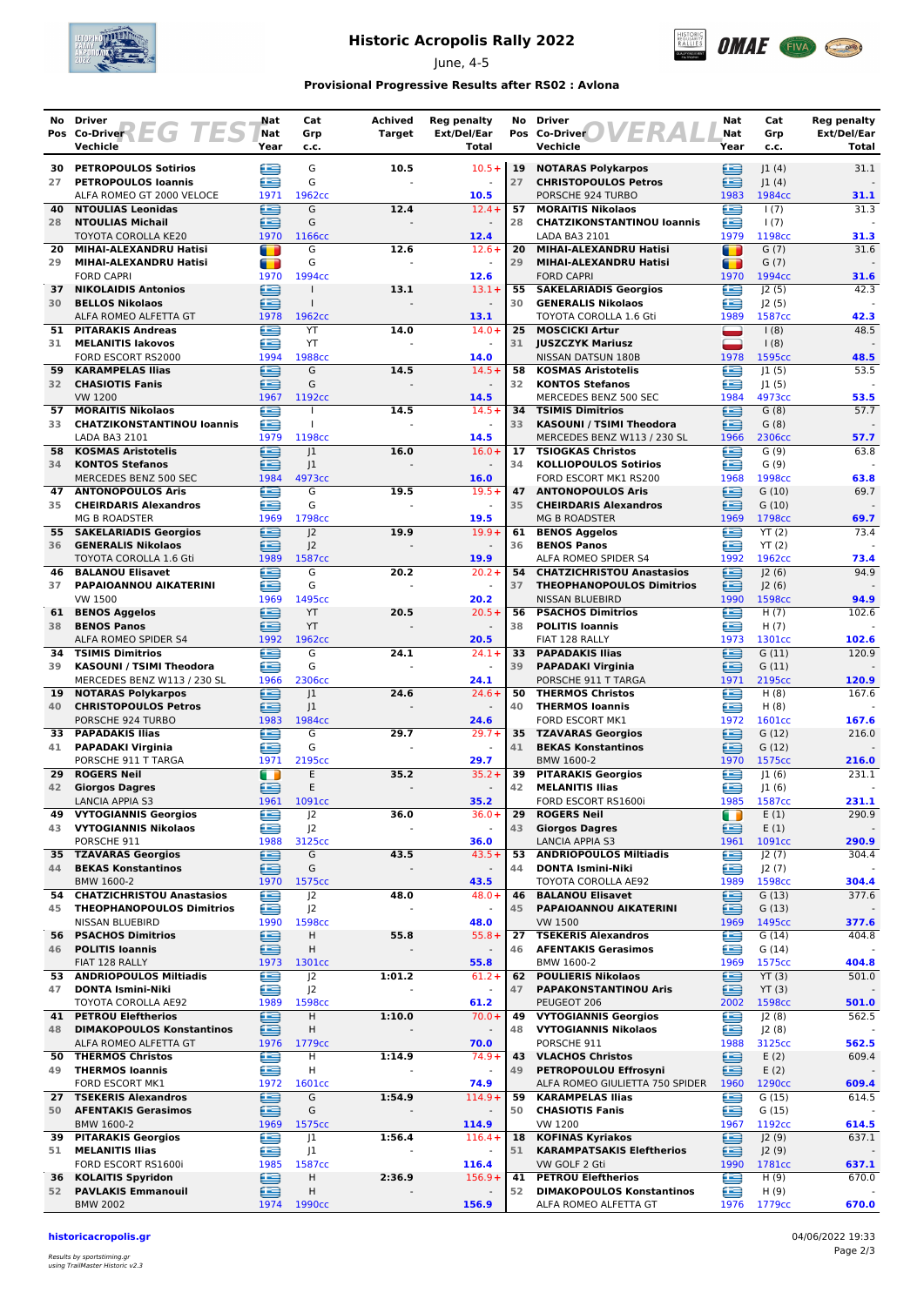

# **Historic Acropolis Rally 2022**

June, 4-5



### **Provisional Progressive Results after RS02 : Avlona**

| No       | Driver<br>Pos Co-Driver 2 EG TES                          | Nat<br>Nat     | Cat<br>Grp               | Achived<br><b>Target</b> | <b>Reg penalty</b><br>Ext/Del/Ear | No       | <b>Driver</b><br>VERA<br>Pos Co-Driver                     | Nat<br>Nat          | Cat<br>Grp                 | <b>Reg penalty</b><br>Ext/Del/Ear |
|----------|-----------------------------------------------------------|----------------|--------------------------|--------------------------|-----------------------------------|----------|------------------------------------------------------------|---------------------|----------------------------|-----------------------------------|
|          | Vechicle                                                  | Year           | c.c.                     |                          | Total                             |          | Vechicle                                                   | Year                | c.c.                       | <b>Total</b>                      |
| 30       | <b>PETROPOULOS Sotirios</b>                               | œ              | G                        | 10.5                     | $10.5 +$                          | 19       | <b>NOTARAS Polykarpos</b>                                  | ≘                   | 1(4)                       | 31.1                              |
| 27       | <b>PETROPOULOS loannis</b><br>ALFA ROMEO GT 2000 VELOCE   | £<br>1971      | G<br>1962cc              |                          | 10.5                              | 27       | <b>CHRISTOPOULOS Petros</b><br>PORSCHE 924 TURBO           | £<br>1983           | 1(4) <br>1984cc            | 31.1                              |
| 40       | <b>NTOULIAS Leonidas</b>                                  | ≘              | G                        | 12.4                     | $12.4 +$                          | 57       | <b>MORAITIS Nikolaos</b>                                   | £                   | 1(7)                       | 31.3                              |
| 28       | <b>NTOULIAS Michail</b><br>TOYOTA COROLLA KE20            | ∈<br>1970      | G<br>1166cc              |                          | 12.4                              | 28       | <b>CHATZIKONSTANTINOU loannis</b><br>LADA BA3 2101         | £<br>1979           | 1(7)<br>1198cc             | 31.3                              |
| 20       | MIHAI-ALEXANDRU Hatisi                                    | $\blacksquare$ | G                        | 12.6                     | $12.6+$                           | 20       | MIHAI-ALEXANDRU Hatisi                                     | П                   | G(7)                       | 31.6                              |
| 29       | MIHAI-ALEXANDRU Hatisi<br><b>FORD CAPRI</b>               | т<br>1970      | G<br>1994cc              |                          | 12.6                              | 29       | MIHAI-ALEXANDRU Hatisi<br><b>FORD CAPRI</b>                | т<br>1970           | G(7)<br>1994cc             | 31.6                              |
| 37       | <b>NIKOLAIDIS Antonios</b>                                | œ              |                          | 13.1                     | $13.1+$                           | 55       | <b>SAKELARIADIS Georgios</b>                               | ≘                   | J2(5)                      | 42.3                              |
| 30       | <b>BELLOS Nikolaos</b><br>ALFA ROMEO ALFETTA GT           | £<br>1978      | $\mathbf{I}$             |                          | $\blacksquare$<br>13.1            | 30       | <b>GENERALIS Nikolaos</b><br><b>TOYOTA COROLLA 1.6 Gti</b> | ≘<br>1989           | J2(5)<br>1587cc            | 42.3                              |
| 51       | <b>PITARAKIS Andreas</b>                                  | æ              | 1962cc<br>YT             | 14.0                     | $14.0 +$                          | 25       | <b>MOSCICKI Artur</b>                                      |                     | 1(8)                       | 48.5                              |
| 31       | <b>MELANITIS lakovos</b><br>FORD ESCORT RS2000            | £<br>1994      | YT<br>1988cc             |                          | 14.0                              | 31       | <b>JUSZCZYK Mariusz</b><br>NISSAN DATSUN 180B              | -<br>1978           | 1(8)<br>1595cc             | 48.5                              |
| 59       | <b>KARAMPELAS Ilias</b>                                   | ⋐              | G                        | 14.5                     | $14.5+$                           | 58       | <b>KOSMAS Aristotelis</b>                                  | £                   | 1(5)                       | 53.5                              |
| 32       | <b>CHASIOTIS Fanis</b>                                    | œ              | G                        |                          |                                   | 32       | <b>KONTOS Stefanos</b>                                     | £                   | 1(5)                       |                                   |
| 57       | <b>VW 1200</b><br><b>MORAITIS Nikolaos</b>                | 1967<br>∈      | 1192cc                   | 14.5                     | 14.5<br>$14.5+$                   | 34       | MERCEDES BENZ 500 SEC<br><b>TSIMIS Dimitrios</b>           | 1984<br>£           | 4973cc<br>G(8)             | 53.5<br>57.7                      |
| 33       | <b>CHATZIKONSTANTINOU loannis</b>                         | £              | $\mathbf{I}$             |                          |                                   | 33       | <b>KASOUNI / TSIMI Theodora</b>                            | æ                   | G(8)                       |                                   |
| 58       | LADA BA3 2101<br><b>KOSMAS Aristotelis</b>                | 1979<br>£      | 1198cc<br> 1             | 16.0                     | 14.5<br>$16.0+$                   | 17       | MERCEDES BENZ W113 / 230 SL<br><b>TSIOGKAS Christos</b>    | 1966<br>Æ           | 2306cc<br>G(9)             | 57.7<br>63.8                      |
| 34       | <b>KONTOS Stefanos</b>                                    | ≘              | J <sub>1</sub>           |                          |                                   | 34       | <b>KOLLIOPOULOS Sotirios</b>                               | œ                   | G(9)                       |                                   |
| 47       | MERCEDES BENZ 500 SEC<br><b>ANTONOPOULOS Aris</b>         | 1984<br>£      | 4973cc<br>G              | 19.5                     | 16.0<br>$19.5+$                   | 47       | FORD ESCORT MK1 RS200<br><b>ANTONOPOULOS Aris</b>          | 1968<br>£           | 1998cc<br>G(10)            | 63.8<br>69.7                      |
| 35       | <b>CHEIRDARIS Alexandros</b>                              | œ              | G                        |                          |                                   | 35       | <b>CHEIRDARIS Alexandros</b>                               | £                   | G(10)                      |                                   |
| 55       | <b>MG B ROADSTER</b><br><b>SAKELARIADIS Georgios</b>      | 1969<br>∈      | 1798cc<br> 2             | 19.9                     | 19.5<br>$19.9+$                   | 61       | <b>MG B ROADSTER</b><br><b>BENOS Aggelos</b>               | 1969<br>œ           | 1798cc<br>YT(2)            | 69.7<br>73.4                      |
| 36       | <b>GENERALIS Nikolaos</b>                                 | Æ              | 2                        |                          |                                   | 36       | <b>BENOS Panos</b>                                         | æ                   | YT(2)                      |                                   |
| 46       | TOYOTA COROLLA 1.6 Gti<br><b>BALANOU Elisavet</b>         | 1989<br>œ      | 1587cc<br>G              | 20.2                     | 19.9<br>$20.2 +$                  |          | ALFA ROMEO SPIDER S4<br>54 CHATZICHRISTOU Anastasios       | 1992<br>æ           | 1962cc<br> 2(6)            | 73.4<br>94.9                      |
| 37       | PAPAIOANNOU AIKATERINI                                    | ≘              | G                        |                          |                                   | 37       | <b>THEOPHANOPOULOS Dimitrios</b>                           | ≘                   | J2(6)                      |                                   |
|          | <b>VW 1500</b>                                            | 1969           | 1495cc                   |                          | 20.2                              |          | NISSAN BLUEBIRD                                            | 1990                | 1598cc                     | 94.9                              |
| 61<br>38 | <b>BENOS Aggelos</b><br><b>BENOS Panos</b>                | ≘<br>£         | YT<br>YT                 | 20.5                     | $20.5+$                           | 56<br>38 | <b>PSACHOS Dimitrios</b><br><b>POLITIS Ioannis</b>         | £<br>œ              | H(7)<br>H(7)               | 102.6                             |
|          | ALFA ROMEO SPIDER S4                                      | 1992           | 1962cc                   |                          | 20.5                              |          | FIAT 128 RALLY                                             | 1973                | 1301cc                     | 102.6                             |
| 34<br>39 | <b>TSIMIS Dimitrios</b><br>KASOUNI / TSIMI Theodora       | œ<br>æ         | G<br>G                   | 24.1                     | $24.1 +$<br>$\overline{a}$        | 33<br>39 | <b>PAPADAKIS Ilias</b><br><b>PAPADAKI Virginia</b>         | e<br>œ              | G(11)<br>G(11)             | 120.9                             |
|          | MERCEDES BENZ W113 / 230 SL                               | 1966           | 2306cc                   |                          | 24.1                              |          | PORSCHE 911 T TARGA                                        | 1971                | 2195cc                     | 120.9                             |
| 19<br>40 | <b>NOTARAS Polykarpos</b><br><b>CHRISTOPOULOS Petros</b>  | ∈<br>£         | 1<br> 1                  | 24.6                     | $24.6+$<br>$\blacksquare$         | 50<br>40 | <b>THERMOS Christos</b><br><b>THERMOS loannis</b>          | ≘<br>£              | H(8)<br>H(8)               | 167.6                             |
|          | PORSCHE 924 TURBO                                         | 1983           | 1984cc                   |                          | 24.6                              |          | FORD ESCORT MK1                                            | 1972                | 1601cc                     | 167.6                             |
| 41       | 33 PAPADAKIS Ilias<br><b>PAPADAKI Virginia</b>            | £<br>£         | G<br>G                   | 29.7                     | $29.7 +$                          | 35<br>41 | <b>TZAVARAS Georgios</b><br><b>BEKAS Konstantinos</b>      | £<br>⋐              | G(12)<br>G(12)             | 216.0                             |
|          | PORSCHE 911 T TARGA                                       | 1971           | 2195cc                   |                          | 29.7                              |          | BMW 1600-2                                                 | 1970                | 1575cc                     | 216.0                             |
| 29<br>42 | <b>ROGERS Neil</b><br><b>Giorgos Dagres</b>               | m<br>≘         | E<br>E                   | 35.2                     | $35.2 +$                          | 39<br>42 | <b>PITARAKIS Georgios</b><br><b>MELANITIS Ilias</b>        | £<br>∈              | 1(6) <br> 1(6)             | 231.1                             |
|          | LANCIA APPIA S3                                           | 1961           | 1091cc                   |                          | 35.2                              |          | FORD ESCORT RS1600i                                        | 1985                | 1587cc                     | 231.1                             |
| 49       | <b>VYTOGIANNIS Georgios</b><br>43 VYTOGIANNIS Nikolaos    | e<br>œ         | J2<br>J <sup>2</sup>     | 36.0                     | $36.0+$<br>$\blacksquare$         | 29<br>43 | <b>ROGERS Neil</b><br><b>Giorgos Dagres</b>                | $\blacksquare$<br>≘ | E(1)<br>E(1)               | 290.9                             |
|          | PORSCHE 911                                               | 1988           | 3125cc                   |                          | 36.0                              |          | <b>LANCIA APPIA S3</b>                                     | 1961                | 1091cc                     | 290.9                             |
| 44       | 35 TZAVARAS Georgios<br><b>BEKAS Konstantinos</b>         | ∈<br>ē         | G<br>G                   | 43.5                     | $43.5+$                           | 53<br>44 | <b>ANDRIOPOULOS Miltiadis</b><br><b>DONTA Ismini-Niki</b>  | œ<br>£              | J2(7)<br>J2(7)             | 304.4                             |
|          | BMW 1600-2                                                | 1970           | 1575cc                   |                          | 43.5                              |          | TOYOTA COROLLA AE92                                        | 1989                | 1598cc                     | 304.4                             |
| 54       | <b>CHATZICHRISTOU Anastasios</b>                          | œ              | J <sup>2</sup>           | 48.0                     | $48.0+$                           | 46       | <b>BALANOU Elisavet</b>                                    | £                   | G(13)                      | 377.6                             |
| 45       | <b>THEOPHANOPOULOS Dimitrios</b><br>NISSAN BLUEBIRD       | ≘<br>1990      | J <sup>2</sup><br>1598cc |                          | $\overline{a}$<br>48.0            | 45       | PAPAIOANNOU AIKATERINI<br><b>VW 1500</b>                   | ≘<br>1969           | G(13)<br>1495cc            | 377.6                             |
|          | 56 PSACHOS Dimitrios                                      | €              | Н                        | 55.8                     | $55.8+$                           | 27       | <b>TSEKERIS Alexandros</b>                                 | €                   | G(14)                      | 404.8                             |
| 46       | <b>POLITIS Ioannis</b><br>FIAT 128 RALLY                  | ≘<br>1973      | Н<br>1301cc              |                          | $\blacksquare$<br>55.8            | 46       | <b>AFENTAKIS Gerasimos</b><br>BMW 1600-2                   | œ<br>1969           | G(14)<br>1575cc            | 404.8                             |
|          | 53 ANDRIOPOULOS Miltiadis                                 | e              | J <sub>2</sub>           | 1:01.2                   | $61.2 +$                          | 62       | <b>POULIERIS Nikolaos</b>                                  | ⊜                   | YT(3)                      | 501.0                             |
| 47       | <b>DONTA Ismini-Niki</b><br>TOYOTA COROLLA AE92           | £<br>1989      | J <sub>2</sub><br>1598cc |                          | 61.2                              | 47       | <b>PAPAKONSTANTINOU Aris</b><br>PEUGEOT 206                | ≘<br>2002           | YT(3)<br>1598cc            | 501.0                             |
|          | <b>41 PETROU Eleftherios</b>                              | ≘              | н                        | 1:10.0                   | $70.0+$                           | 49       | <b>VYTOGIANNIS Georgios</b>                                | £                   | J2(8)                      | 562.5                             |
| 48       | <b>DIMAKOPOULOS Konstantinos</b><br>ALFA ROMEO ALFETTA GT | ∈<br>1976      | н<br>1779 <sub>cc</sub>  |                          | 70.0                              | 48       | <b>VYTOGIANNIS Nikolaos</b><br>PORSCHE 911                 | œ<br>1988           | J2(8)<br>3125cc            | 562.5                             |
|          | 50 THERMOS Christos                                       | ⋐              | н                        | 1:14.9                   | $74.9+$                           | 43       | <b>VLACHOS Christos</b>                                    | ≘                   | E(2)                       | 609.4                             |
|          | 49 THERMOS Ioannis<br>FORD ESCORT MK1                     | è<br>1972      | Н<br>1601cc              |                          | $\blacksquare$<br>74.9            | 49       | PETROPOULOU Effrosyni<br>ALFA ROMEO GIULIETTA 750 SPIDER   | ≘<br>1960           | E(2)<br>1290 <sub>cc</sub> | 609.4                             |
| 27       | <b>TSEKERIS Alexandros</b>                                | ఆ              | G                        | 1:54.9                   | $114.9+$                          | 59       | <b>KARAMPELAS Ilias</b>                                    | ∈                   | G (15)                     | 614.5                             |
| 50       | <b>AFENTAKIS Gerasimos</b><br>BMW 1600-2                  | £<br>1969      | G<br>1575cc              |                          | 114.9                             | 50       | <b>CHASIOTIS Fanis</b><br>VW 1200                          | œ<br>1967           | G(15)<br>1192cc            | 614.5                             |
| 39       | <b>PITARAKIS Georgios</b>                                 | Œ              | J1                       | 1:56.4                   | $116.4+$                          | 18       | <b>KOFINAS Kyriakos</b>                                    | £                   | J2(9)                      | 637.1                             |
| 51       | <b>MELANITIS Ilias</b><br>FORD ESCORT RS1600i             | £<br>1985      | J <sub>1</sub><br>1587cc |                          | $\omega$<br>116.4                 | 51       | <b>KARAMPATSAKIS Eleftherios</b><br>VW GOLF 2 Gti          | ≘<br>1990           | J2(9)<br>1781cc            | 637.1                             |
| 36       | <b>KOLAITIS Spyridon</b>                                  | ≘              | Н                        | 2:36.9                   | $156.9+$                          | 41       | <b>PETROU Eleftherios</b>                                  | €                   | H(9)                       | 670.0                             |
| 52       | <b>PAVLAKIS Emmanouil</b><br><b>BMW 2002</b>              | ఆ              | Н<br>1990 <sub>cc</sub>  |                          | 156.9                             | 52       | <b>DIMAKOPOULOS Konstantinos</b><br>ALFA ROMEO ALFETTA GT  | œ<br>1976           | H(9)<br>1779cc             |                                   |
|          |                                                           | 1974           |                          |                          |                                   |          |                                                            |                     |                            | 670.0                             |

**historicacropolis.gr** 04/06/2022 19:33

Results by sportstiming.gr using TrailMaster Historic v2.3